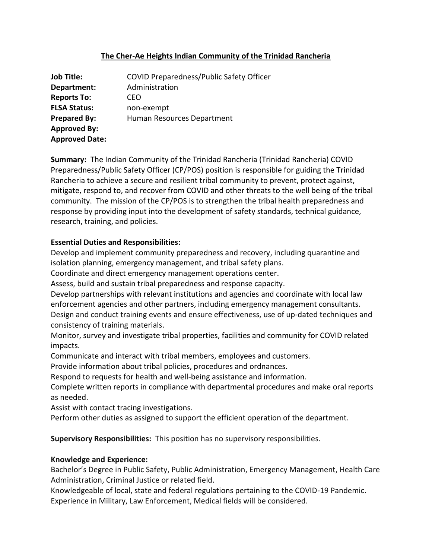# **The Cher-Ae Heights Indian Community of the Trinidad Rancheria**

| <b>Job Title:</b>     | <b>COVID Preparedness/Public Safety Officer</b> |
|-----------------------|-------------------------------------------------|
| Department:           | Administration                                  |
| <b>Reports To:</b>    | CEO                                             |
| <b>FLSA Status:</b>   | non-exempt                                      |
| <b>Prepared By:</b>   | Human Resources Department                      |
| <b>Approved By:</b>   |                                                 |
| <b>Approved Date:</b> |                                                 |

**Summary:** The Indian Community of the Trinidad Rancheria (Trinidad Rancheria) COVID Preparedness/Public Safety Officer (CP/POS) position is responsible for guiding the Trinidad Rancheria to achieve a secure and resilient tribal community to prevent, protect against, mitigate, respond to, and recover from COVID and other threats to the well being of the tribal community. The mission of the CP/POS is to strengthen the tribal health preparedness and response by providing input into the development of safety standards, technical guidance, research, training, and policies.

### **Essential Duties and Responsibilities:**

Develop and implement community preparedness and recovery, including quarantine and isolation planning, emergency management, and tribal safety plans.

Coordinate and direct emergency management operations center.

Assess, build and sustain tribal preparedness and response capacity.

Develop partnerships with relevant institutions and agencies and coordinate with local law enforcement agencies and other partners, including emergency management consultants. Design and conduct training events and ensure effectiveness, use of up-dated techniques and consistency of training materials.

Monitor, survey and investigate tribal properties, facilities and community for COVID related impacts.

Communicate and interact with tribal members, employees and customers.

Provide information about tribal policies, procedures and ordnances.

Respond to requests for health and well-being assistance and information.

Complete written reports in compliance with departmental procedures and make oral reports as needed.

Assist with contact tracing investigations.

Perform other duties as assigned to support the efficient operation of the department.

**Supervisory Responsibilities:** This position has no supervisory responsibilities.

# **Knowledge and Experience:**

Bachelor's Degree in Public Safety, Public Administration, Emergency Management, Health Care Administration, Criminal Justice or related field.

Knowledgeable of local, state and federal regulations pertaining to the COVID-19 Pandemic. Experience in Military, Law Enforcement, Medical fields will be considered.